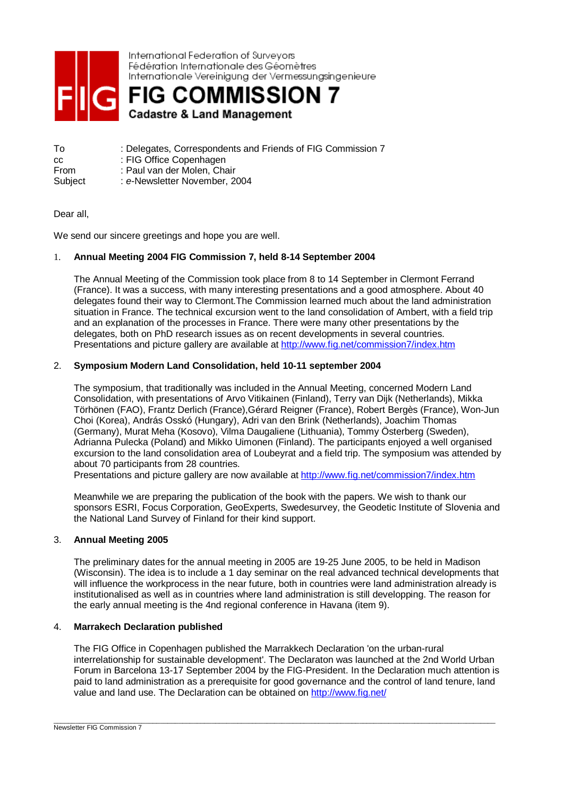

International Federation of Surveyors Fédération Internationale des Géomètres Internationale Vereinigung der Vermessungsingenieure

**FIG COMMISSION 7 Cadastre & Land Management** 

To : Delegates, Correspondents and Friends of FIG Commission 7 cc : FIG Office Copenhagen From : Paul van der Molen, Chair Subject : e-Newsletter November, 2004

# Dear all,

We send our sincere greetings and hope you are well.

# 1. **Annual Meeting 2004 FIG Commission 7, held 8-14 September 2004**

The Annual Meeting of the Commission took place from 8 to 14 September in Clermont Ferrand (France). It was a success, with many interesting presentations and a good atmosphere. About 40 delegates found their way to Clermont.The Commission learned much about the land administration situation in France. The technical excursion went to the land consolidation of Ambert, with a field trip and an explanation of the processes in France. There were many other presentations by the delegates, both on PhD research issues as on recent developments in several countries. Presentations and picture gallery are available at http://www.fig.net/commission7/index.htm

# 2. **Symposium Modern Land Consolidation, held 10-11 september 2004**

The symposium, that traditionally was included in the Annual Meeting, concerned Modern Land Consolidation, with presentations of Arvo Vitikainen (Finland), Terry van Dijk (Netherlands), Mikka Törhönen (FAO), Frantz Derlich (France),Gérard Reigner (France), Robert Bergès (France), Won-Jun Choi (Korea), András Osskó (Hungary), Adri van den Brink (Netherlands), Joachim Thomas (Germany), Murat Meha (Kosovo), Vilma Daugaliene (Lithuania), Tommy Österberg (Sweden), Adrianna Pulecka (Poland) and Mikko Uimonen (Finland). The participants enjoyed a well organised excursion to the land consolidation area of Loubeyrat and a field trip. The symposium was attended by about 70 participants from 28 countries.

Presentations and picture gallery are now available at http://www.fig.net/commission7/index.htm

Meanwhile we are preparing the publication of the book with the papers. We wish to thank our sponsors ESRI, Focus Corporation, GeoExperts, Swedesurvey, the Geodetic Institute of Slovenia and the National Land Survey of Finland for their kind support.

# 3. **Annual Meeting 2005**

The preliminary dates for the annual meeting in 2005 are 19-25 June 2005, to be held in Madison (Wisconsin). The idea is to include a 1 day seminar on the real advanced technical developments that will influence the workprocess in the near future, both in countries were land administration already is institutionalised as well as in countries where land administration is still developping. The reason for the early annual meeting is the 4nd regional conference in Havana (item 9).

# 4. **Marrakech Declaration published**

The FIG Office in Copenhagen published the Marrakkech Declaration 'on the urban-rural interrelationship for sustainable development'. The Declaraton was launched at the 2nd World Urban Forum in Barcelona 13-17 September 2004 by the FIG-President. In the Declaration much attention is paid to land administration as a prerequisite for good governance and the control of land tenure, land value and land use. The Declaration can be obtained on http://www.fig.net/

\_\_\_\_\_\_\_\_\_\_\_\_\_\_\_\_\_\_\_\_\_\_\_\_\_\_\_\_\_\_\_\_\_\_\_\_\_\_\_\_\_\_\_\_\_\_\_\_\_\_\_\_\_\_\_\_\_\_\_\_\_\_\_\_\_\_\_\_\_\_\_\_\_\_\_\_\_\_\_\_\_\_\_\_\_\_\_\_\_\_\_\_\_\_\_\_\_\_\_\_\_\_\_\_\_\_\_\_\_\_\_\_\_\_\_\_\_\_\_\_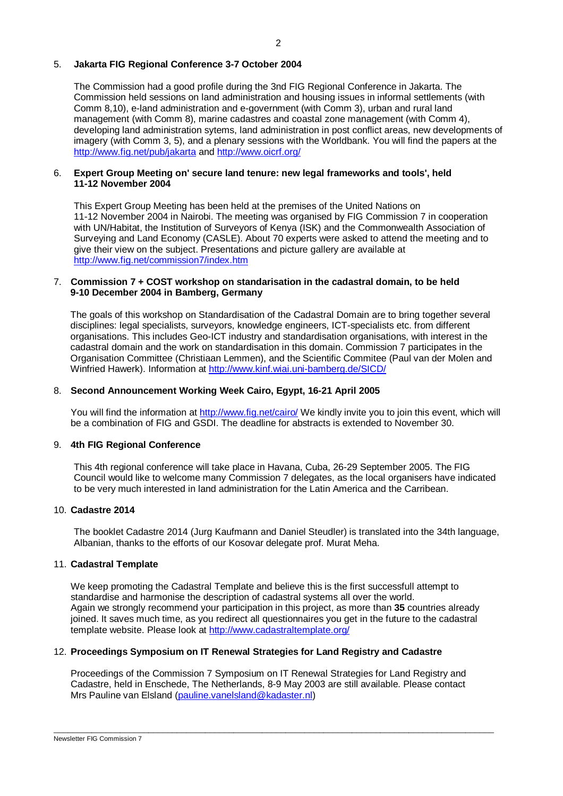# 5. **Jakarta FIG Regional Conference 3-7 October 2004**

The Commission had a good profile during the 3nd FIG Regional Conference in Jakarta. The Commission held sessions on land administration and housing issues in informal settlements (with Comm 8,10), e-land administration and e-government (with Comm 3), urban and rural land management (with Comm 8), marine cadastres and coastal zone management (with Comm 4), developing land administration sytems, land administration in post conflict areas, new developments of imagery (with Comm 3, 5), and a plenary sessions with the Worldbank. You will find the papers at the http://www.fig.net/pub/jakarta and http://www.oicrf.org/

## 6. **Expert Group Meeting on' secure land tenure: new legal frameworks and tools', held 11-12 November 2004**

This Expert Group Meeting has been held at the premises of the United Nations on 11-12 November 2004 in Nairobi. The meeting was organised by FIG Commission 7 in cooperation with UN/Habitat, the Institution of Surveyors of Kenya (ISK) and the Commonwealth Association of Surveying and Land Economy (CASLE). About 70 experts were asked to attend the meeting and to give their view on the subject. Presentations and picture gallery are available at http://www.fig.net/commission7/index.htm

# 7. **Commission 7 + COST workshop on standarisation in the cadastral domain, to be held 9-10 December 2004 in Bamberg, Germany**

The goals of this workshop on Standardisation of the Cadastral Domain are to bring together several disciplines: legal specialists, surveyors, knowledge engineers, ICT-specialists etc. from different organisations. This includes Geo-ICT industry and standardisation organisations, with interest in the cadastral domain and the work on standardisation in this domain. Commission 7 participates in the Organisation Committee (Christiaan Lemmen), and the Scientific Commitee (Paul van der Molen and Winfried Hawerk). Information at http://www.kinf.wiai.uni-bamberg.de/SICD/

# 8. **Second Announcement Working Week Cairo, Egypt, 16-21 April 2005**

You will find the information at http://www.fig.net/cairo/ We kindly invite you to join this event, which will be a combination of FIG and GSDI. The deadline for abstracts is extended to November 30.

# 9. **4th FIG Regional Conference**

This 4th regional conference will take place in Havana, Cuba, 26-29 September 2005. The FIG Council would like to welcome many Commission 7 delegates, as the local organisers have indicated to be very much interested in land administration for the Latin America and the Carribean.

# 10. **Cadastre 2014**

The booklet Cadastre 2014 (Jurg Kaufmann and Daniel Steudler) is translated into the 34th language, Albanian, thanks to the efforts of our Kosovar delegate prof. Murat Meha.

# 11. **Cadastral Template**

We keep promoting the Cadastral Template and believe this is the first successfull attempt to standardise and harmonise the description of cadastral systems all over the world. Again we strongly recommend your participation in this project, as more than **35** countries already joined. It saves much time, as you redirect all questionnaires you get in the future to the cadastral template website. Please look at http://www.cadastraltemplate.org/

# 12. **Proceedings Symposium on IT Renewal Strategies for Land Registry and Cadastre**

Proceedings of the Commission 7 Symposium on IT Renewal Strategies for Land Registry and Cadastre, held in Enschede, The Netherlands, 8-9 May 2003 are still available. Please contact Mrs Pauline van Elsland (pauline.vanelsland@kadaster.nl)

\_\_\_\_\_\_\_\_\_\_\_\_\_\_\_\_\_\_\_\_\_\_\_\_\_\_\_\_\_\_\_\_\_\_\_\_\_\_\_\_\_\_\_\_\_\_\_\_\_\_\_\_\_\_\_\_\_\_\_\_\_\_\_\_\_\_\_\_\_\_\_\_\_\_\_\_\_\_\_\_\_\_\_\_\_\_\_\_\_\_\_\_\_